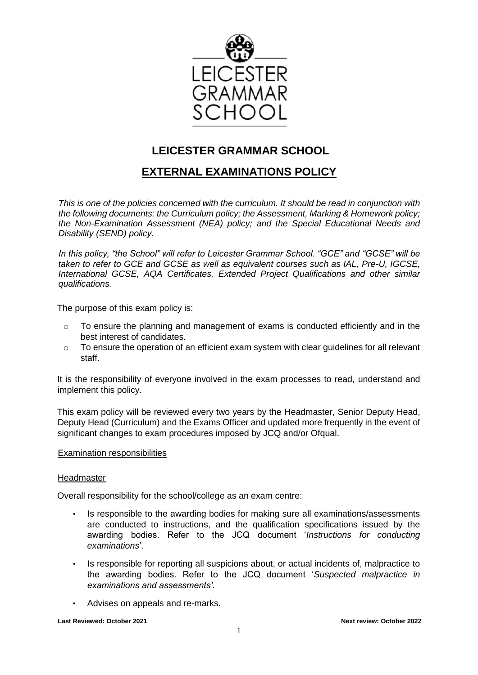

# **LEICESTER GRAMMAR SCHOOL**

# **EXTERNAL EXAMINATIONS POLICY**

*This is one of the policies concerned with the curriculum. It should be read in conjunction with the following documents: the Curriculum policy; the Assessment, Marking & Homework policy; the Non-Examination Assessment (NEA) policy; and the Special Educational Needs and Disability (SEND) policy.*

*In this policy, "the School" will refer to Leicester Grammar School. "GCE" and "GCSE" will be taken to refer to GCE and GCSE as well as equivalent courses such as IAL, Pre-U, IGCSE, International GCSE, AQA Certificates, Extended Project Qualifications and other similar qualifications.*

The purpose of this exam policy is:

- o To ensure the planning and management of exams is conducted efficiently and in the best interest of candidates.
- o To ensure the operation of an efficient exam system with clear guidelines for all relevant staff.

It is the responsibility of everyone involved in the exam processes to read, understand and implement this policy.

This exam policy will be reviewed every two years by the Headmaster, Senior Deputy Head, Deputy Head (Curriculum) and the Exams Officer and updated more frequently in the event of significant changes to exam procedures imposed by JCQ and/or Ofqual.

#### Examination responsibilities

#### **Headmaster**

Overall responsibility for the school/college as an exam centre:

- Is responsible to the awarding bodies for making sure all examinations/assessments are conducted to instructions, and the qualification specifications issued by the awarding bodies. Refer to the JCQ document '*Instructions for conducting examinations*'.
- Is responsible for reporting all suspicions about, or actual incidents of, malpractice to the awarding bodies. Refer to the JCQ document '*Suspected malpractice in examinations and assessments'*.
- Advises on appeals and re-marks.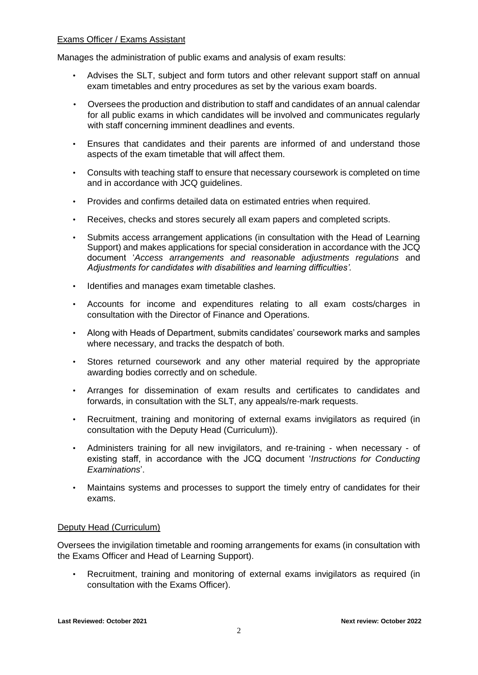# Exams Officer / Exams Assistant

Manages the administration of public exams and analysis of exam results:

- Advises the SLT, subject and form tutors and other relevant support staff on annual exam timetables and entry procedures as set by the various exam boards.
- Oversees the production and distribution to staff and candidates of an annual calendar for all public exams in which candidates will be involved and communicates regularly with staff concerning imminent deadlines and events.
- Ensures that candidates and their parents are informed of and understand those aspects of the exam timetable that will affect them.
- Consults with teaching staff to ensure that necessary coursework is completed on time and in accordance with JCQ guidelines.
- Provides and confirms detailed data on estimated entries when required.
- Receives, checks and stores securely all exam papers and completed scripts.
- Submits access arrangement applications (in consultation with the Head of Learning Support) and makes applications for special consideration in accordance with the JCQ document '*Access arrangements and reasonable adjustments regulations* and *Adjustments for candidates with disabilities and learning difficulties'.*
- Identifies and manages exam timetable clashes.
- Accounts for income and expenditures relating to all exam costs/charges in consultation with the Director of Finance and Operations.
- Along with Heads of Department, submits candidates' coursework marks and samples where necessary, and tracks the despatch of both.
- Stores returned coursework and any other material required by the appropriate awarding bodies correctly and on schedule.
- Arranges for dissemination of exam results and certificates to candidates and forwards, in consultation with the SLT, any appeals/re-mark requests.
- Recruitment, training and monitoring of external exams invigilators as required (in consultation with the Deputy Head (Curriculum)).
- Administers training for all new invigilators, and re-training when necessary of existing staff, in accordance with the JCQ document '*Instructions for Conducting Examinations*'.
- Maintains systems and processes to support the timely entry of candidates for their exams.

# Deputy Head (Curriculum)

Oversees the invigilation timetable and rooming arrangements for exams (in consultation with the Exams Officer and Head of Learning Support).

• Recruitment, training and monitoring of external exams invigilators as required (in consultation with the Exams Officer).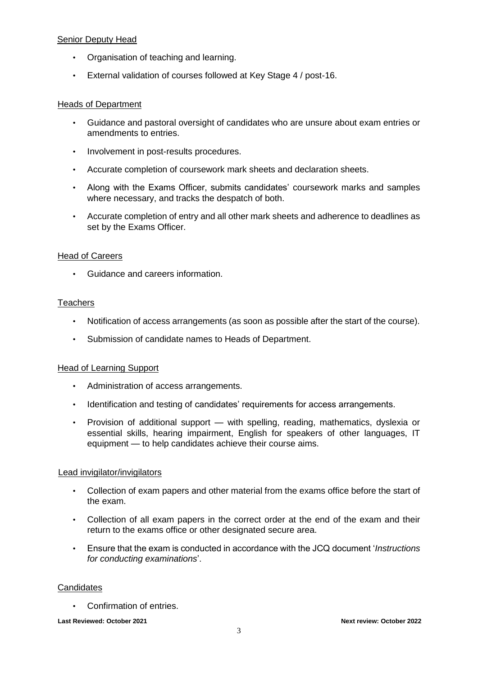# Senior Deputy Head

- Organisation of teaching and learning.
- External validation of courses followed at Key Stage 4 / post-16.

## Heads of Department

- Guidance and pastoral oversight of candidates who are unsure about exam entries or amendments to entries.
- Involvement in post-results procedures.
- Accurate completion of coursework mark sheets and declaration sheets.
- Along with the Exams Officer, submits candidates' coursework marks and samples where necessary, and tracks the despatch of both.
- Accurate completion of entry and all other mark sheets and adherence to deadlines as set by the Exams Officer.

# Head of Careers

• Guidance and careers information.

# **Teachers**

- Notification of access arrangements (as soon as possible after the start of the course).
- Submission of candidate names to Heads of Department.

# Head of Learning Support

- Administration of access arrangements.
- Identification and testing of candidates' requirements for access arrangements.
- Provision of additional support with spelling, reading, mathematics, dyslexia or essential skills, hearing impairment, English for speakers of other languages, IT equipment — to help candidates achieve their course aims.

# Lead invigilator/invigilators

- Collection of exam papers and other material from the exams office before the start of the exam.
- Collection of all exam papers in the correct order at the end of the exam and their return to the exams office or other designated secure area.
- Ensure that the exam is conducted in accordance with the JCQ document '*Instructions for conducting examinations*'.

#### **Candidates**

• Confirmation of entries.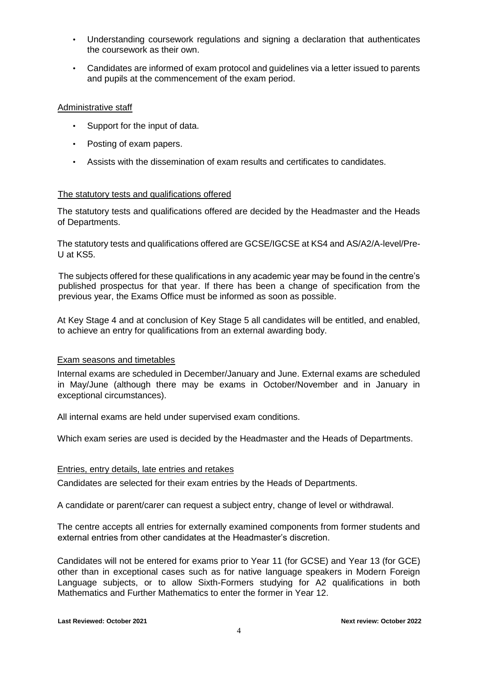- Understanding coursework regulations and signing a declaration that authenticates the coursework as their own.
- Candidates are informed of exam protocol and guidelines via a letter issued to parents and pupils at the commencement of the exam period.

## Administrative staff

- Support for the input of data.
- Posting of exam papers.
- Assists with the dissemination of exam results and certificates to candidates.

## The statutory tests and qualifications offered

The statutory tests and qualifications offered are decided by the Headmaster and the Heads of Departments.

The statutory tests and qualifications offered are GCSE/IGCSE at KS4 and AS/A2/A-level/Pre-U at KS5.

The subjects offered for these qualifications in any academic year may be found in the centre's published prospectus for that year. If there has been a change of specification from the previous year, the Exams Office must be informed as soon as possible.

At Key Stage 4 and at conclusion of Key Stage 5 all candidates will be entitled, and enabled, to achieve an entry for qualifications from an external awarding body.

#### Exam seasons and timetables

Internal exams are scheduled in December/January and June. External exams are scheduled in May/June (although there may be exams in October/November and in January in exceptional circumstances).

All internal exams are held under supervised exam conditions.

Which exam series are used is decided by the Headmaster and the Heads of Departments.

#### Entries, entry details, late entries and retakes

Candidates are selected for their exam entries by the Heads of Departments.

A candidate or parent/carer can request a subject entry, change of level or withdrawal.

The centre accepts all entries for externally examined components from former students and external entries from other candidates at the Headmaster's discretion.

Candidates will not be entered for exams prior to Year 11 (for GCSE) and Year 13 (for GCE) other than in exceptional cases such as for native language speakers in Modern Foreign Language subjects, or to allow Sixth-Formers studying for A2 qualifications in both Mathematics and Further Mathematics to enter the former in Year 12.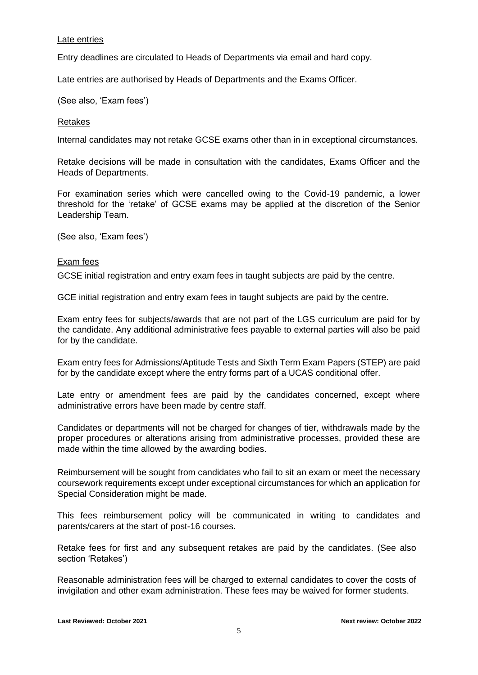## Late entries

Entry deadlines are circulated to Heads of Departments via email and hard copy.

Late entries are authorised by Heads of Departments and the Exams Officer.

(See also, 'Exam fees')

#### Retakes

Internal candidates may not retake GCSE exams other than in in exceptional circumstances.

Retake decisions will be made in consultation with the candidates, Exams Officer and the Heads of Departments.

For examination series which were cancelled owing to the Covid-19 pandemic, a lower threshold for the 'retake' of GCSE exams may be applied at the discretion of the Senior Leadership Team.

(See also, 'Exam fees')

## Exam fees

GCSE initial registration and entry exam fees in taught subjects are paid by the centre.

GCE initial registration and entry exam fees in taught subjects are paid by the centre.

Exam entry fees for subjects/awards that are not part of the LGS curriculum are paid for by the candidate. Any additional administrative fees payable to external parties will also be paid for by the candidate.

Exam entry fees for Admissions/Aptitude Tests and Sixth Term Exam Papers (STEP) are paid for by the candidate except where the entry forms part of a UCAS conditional offer.

Late entry or amendment fees are paid by the candidates concerned, except where administrative errors have been made by centre staff.

Candidates or departments will not be charged for changes of tier, withdrawals made by the proper procedures or alterations arising from administrative processes, provided these are made within the time allowed by the awarding bodies.

Reimbursement will be sought from candidates who fail to sit an exam or meet the necessary coursework requirements except under exceptional circumstances for which an application for Special Consideration might be made.

This fees reimbursement policy will be communicated in writing to candidates and parents/carers at the start of post-16 courses.

Retake fees for first and any subsequent retakes are paid by the candidates. (See also section 'Retakes')

Reasonable administration fees will be charged to external candidates to cover the costs of invigilation and other exam administration. These fees may be waived for former students.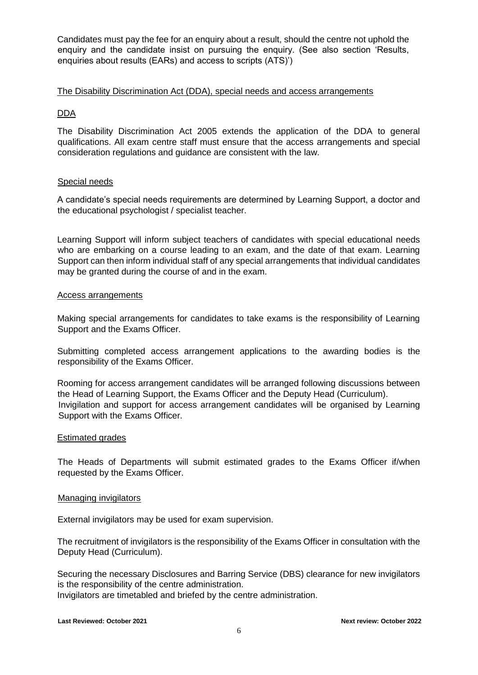Candidates must pay the fee for an enquiry about a result, should the centre not uphold the enquiry and the candidate insist on pursuing the enquiry. (See also section 'Results, enquiries about results (EARs) and access to scripts (ATS)')

### The Disability Discrimination Act (DDA), special needs and access arrangements

# DDA

The Disability Discrimination Act 2005 extends the application of the DDA to general qualifications. All exam centre staff must ensure that the access arrangements and special consideration regulations and guidance are consistent with the law.

## Special needs

A candidate's special needs requirements are determined by Learning Support, a doctor and the educational psychologist / specialist teacher.

Learning Support will inform subject teachers of candidates with special educational needs who are embarking on a course leading to an exam, and the date of that exam. Learning Support can then inform individual staff of any special arrangements that individual candidates may be granted during the course of and in the exam.

#### Access arrangements

Making special arrangements for candidates to take exams is the responsibility of Learning Support and the Exams Officer.

Submitting completed access arrangement applications to the awarding bodies is the responsibility of the Exams Officer.

Rooming for access arrangement candidates will be arranged following discussions between the Head of Learning Support, the Exams Officer and the Deputy Head (Curriculum). Invigilation and support for access arrangement candidates will be organised by Learning Support with the Exams Officer.

#### Estimated grades

The Heads of Departments will submit estimated grades to the Exams Officer if/when requested by the Exams Officer.

#### Managing invigilators

External invigilators may be used for exam supervision.

The recruitment of invigilators is the responsibility of the Exams Officer in consultation with the Deputy Head (Curriculum).

Securing the necessary Disclosures and Barring Service (DBS) clearance for new invigilators is the responsibility of the centre administration. Invigilators are timetabled and briefed by the centre administration.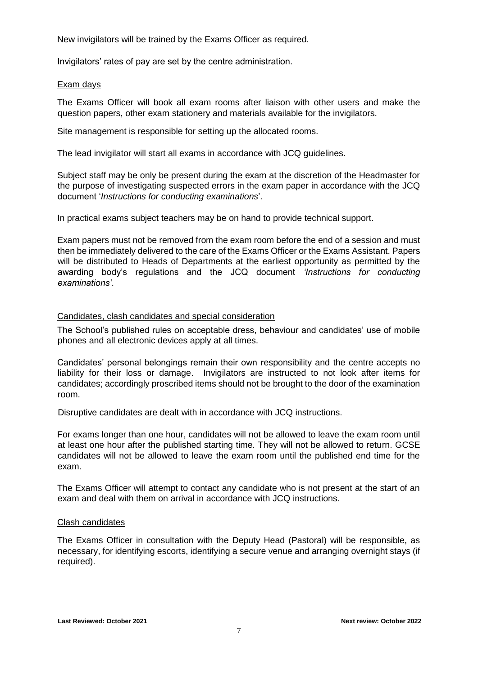New invigilators will be trained by the Exams Officer as required.

Invigilators' rates of pay are set by the centre administration.

### Exam days

The Exams Officer will book all exam rooms after liaison with other users and make the question papers, other exam stationery and materials available for the invigilators.

Site management is responsible for setting up the allocated rooms.

The lead invigilator will start all exams in accordance with JCQ guidelines.

Subject staff may be only be present during the exam at the discretion of the Headmaster for the purpose of investigating suspected errors in the exam paper in accordance with the JCQ document '*Instructions for conducting examinations*'.

In practical exams subject teachers may be on hand to provide technical support.

Exam papers must not be removed from the exam room before the end of a session and must then be immediately delivered to the care of the Exams Officer or the Exams Assistant. Papers will be distributed to Heads of Departments at the earliest opportunity as permitted by the awarding body's regulations and the JCQ document *'Instructions for conducting examinations'*.

## Candidates, clash candidates and special consideration

The School's published rules on acceptable dress, behaviour and candidates' use of mobile phones and all electronic devices apply at all times.

Candidates' personal belongings remain their own responsibility and the centre accepts no liability for their loss or damage. Invigilators are instructed to not look after items for candidates; accordingly proscribed items should not be brought to the door of the examination room.

Disruptive candidates are dealt with in accordance with JCQ instructions.

For exams longer than one hour, candidates will not be allowed to leave the exam room until at least one hour after the published starting time. They will not be allowed to return. GCSE candidates will not be allowed to leave the exam room until the published end time for the exam.

The Exams Officer will attempt to contact any candidate who is not present at the start of an exam and deal with them on arrival in accordance with JCQ instructions.

#### Clash candidates

The Exams Officer in consultation with the Deputy Head (Pastoral) will be responsible, as necessary, for identifying escorts, identifying a secure venue and arranging overnight stays (if required).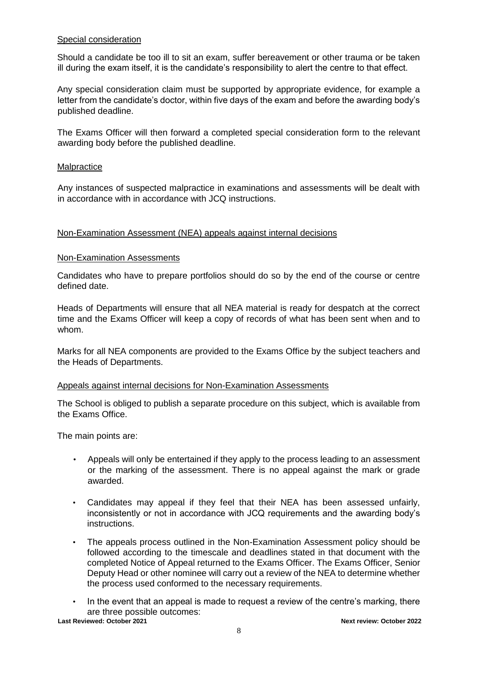## Special consideration

Should a candidate be too ill to sit an exam, suffer bereavement or other trauma or be taken ill during the exam itself, it is the candidate's responsibility to alert the centre to that effect.

Any special consideration claim must be supported by appropriate evidence, for example a letter from the candidate's doctor, within five days of the exam and before the awarding body's published deadline.

The Exams Officer will then forward a completed special consideration form to the relevant awarding body before the published deadline.

### **Malpractice**

Any instances of suspected malpractice in examinations and assessments will be dealt with in accordance with in accordance with JCQ instructions.

## Non-Examination Assessment (NEA) appeals against internal decisions

#### Non-Examination Assessments

Candidates who have to prepare portfolios should do so by the end of the course or centre defined date.

Heads of Departments will ensure that all NEA material is ready for despatch at the correct time and the Exams Officer will keep a copy of records of what has been sent when and to whom.

Marks for all NEA components are provided to the Exams Office by the subject teachers and the Heads of Departments.

### Appeals against internal decisions for Non-Examination Assessments

The School is obliged to publish a separate procedure on this subject, which is available from the Exams Office.

The main points are:

- Appeals will only be entertained if they apply to the process leading to an assessment or the marking of the assessment. There is no appeal against the mark or grade awarded.
- Candidates may appeal if they feel that their NEA has been assessed unfairly, inconsistently or not in accordance with JCQ requirements and the awarding body's instructions.
- The appeals process outlined in the Non-Examination Assessment policy should be followed according to the timescale and deadlines stated in that document with the completed Notice of Appeal returned to the Exams Officer. The Exams Officer, Senior Deputy Head or other nominee will carry out a review of the NEA to determine whether the process used conformed to the necessary requirements.
- In the event that an appeal is made to request a review of the centre's marking, there are three possible outcomes: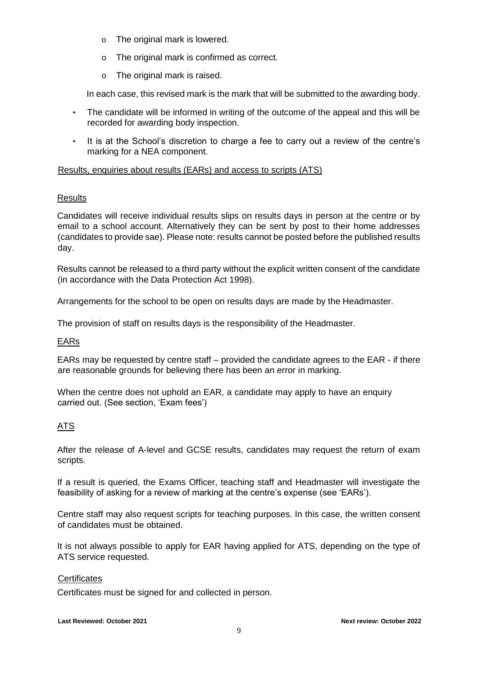- o The original mark is lowered.
- o The original mark is confirmed as correct.
- o The original mark is raised.

In each case, this revised mark is the mark that will be submitted to the awarding body.

- The candidate will be informed in writing of the outcome of the appeal and this will be recorded for awarding body inspection.
- It is at the School's discretion to charge a fee to carry out a review of the centre's marking for a NEA component.

# Results, enquiries about results (EARs) and access to scripts (ATS)

# **Results**

Candidates will receive individual results slips on results days in person at the centre or by email to a school account. Alternatively they can be sent by post to their home addresses (candidates to provide sae). Please note: results cannot be posted before the published results day.

Results cannot be released to a third party without the explicit written consent of the candidate (in accordance with the Data Protection Act 1998).

Arrangements for the school to be open on results days are made by the Headmaster.

The provision of staff on results days is the responsibility of the Headmaster.

# EARs

EARs may be requested by centre staff – provided the candidate agrees to the EAR - if there are reasonable grounds for believing there has been an error in marking.

When the centre does not uphold an EAR, a candidate may apply to have an enquiry carried out. (See section, 'Exam fees')

# ATS

After the release of A-level and GCSE results, candidates may request the return of exam scripts.

If a result is queried, the Exams Officer, teaching staff and Headmaster will investigate the feasibility of asking for a review of marking at the centre's expense (see 'EARs').

Centre staff may also request scripts for teaching purposes. In this case, the written consent of candidates must be obtained.

It is not always possible to apply for EAR having applied for ATS, depending on the type of ATS service requested.

# **Certificates**

Certificates must be signed for and collected in person.